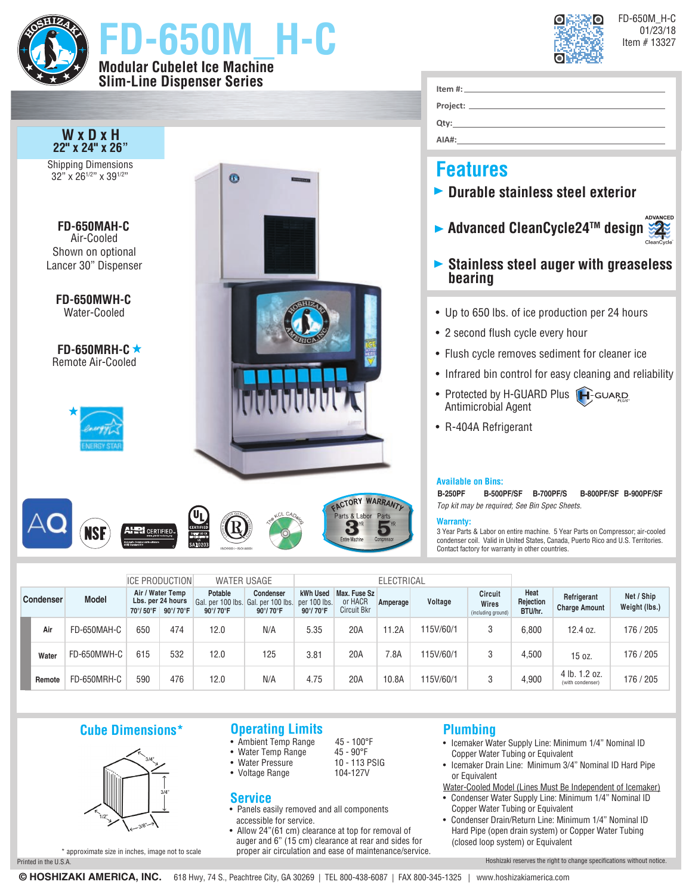

|                  |        |              |          | <b>ICE PRODUCTION</b>                             | <b>WATER USAGE</b>                                         |                       | <b>ELECTRICAL</b>                    |                                        |          |          |                                        |                              |                                     |                             |
|------------------|--------|--------------|----------|---------------------------------------------------|------------------------------------------------------------|-----------------------|--------------------------------------|----------------------------------------|----------|----------|----------------------------------------|------------------------------|-------------------------------------|-----------------------------|
| <b>Condenser</b> |        | <b>Model</b> | 70°/50°F | Air / Water Temp<br>Lbs. per 24 hours<br>90°/70°F | Potable<br>Gal. per 100 lbs. Gal. per 100 lbs.<br>90°/70°F | Condenser<br>90°/70°F | kWh Used<br>per 100 lbs.<br>90°/70°F | Max. Fuse Sz<br>or HACR<br>Circuit Bkr | Amperage | Voltage  | Circuit<br>Wires<br>(including ground) | Heat<br>Rejection<br>BTU/hr. | Refrigerant<br><b>Charge Amount</b> | Net / Ship<br>Weight (lbs.) |
|                  | Air    | FD-650MAH-C  | 650      | 474                                               | 12.0                                                       | N/A                   | 5.35                                 | 20A                                    | 11.2A    | 15V/60/1 |                                        | 6.800                        | 12.4 oz.                            | 176 / 205                   |
|                  | Water  | FD-650MWH-C  | 615      | 532                                               | 12.0                                                       | 125                   | 3.81                                 | 20A                                    | 7.8A     | 15V/60/1 |                                        | 4.500                        | 15 oz.                              | 176 / 205                   |
|                  | Remote | FD-650MRH-C  | 590      | 476                                               | 12.0                                                       | N/A                   | 4.75                                 | 20A                                    | 10.8A    | 15V/60/1 |                                        | 4,900                        | 4 lb. 1.2 oz.<br>(with condenser)   | 176 / 205                   |

## **Cube Dimensions\***



\* approximate size in inches, image not to scale

## **Operating Limits**

- Ambient Temp Range 45 100°F
- Water Temp Range 45 90°F
- **Vater Pressure 10 113 F<br>Voltage Range 104-127V** • Voltage Range

## **Service**

- Panels easily removed and all components accessible for service.
- Allow 24"(61 cm) clearance at top for removal of auger and 6" (15 cm) clearance at rear and sides for proper air circulation and ease of maintenance/service.

## **Plumbing**

- Icemaker Water Supply Line: Minimum 1/4" Nominal ID Copper Water Tubing or Equivalent
- Icemaker Drain Line: Minimum 3/4" Nominal ID Hard Pipe or Equivalent

Water-Cooled Model (Lines Must Be Independent of Icemaker)

- Condenser Water Supply Line: Minimum 1/4" Nominal ID Copper Water Tubing or Equivalent
- Condenser Drain/Return Line: Minimum 1/4" Nominal ID Hard Pipe (open drain system) or Copper Water Tubing (closed loop system) or Equivalent

Printed in the U.S.A. **Hoshizaki reserves the right to change specifications without notice.**